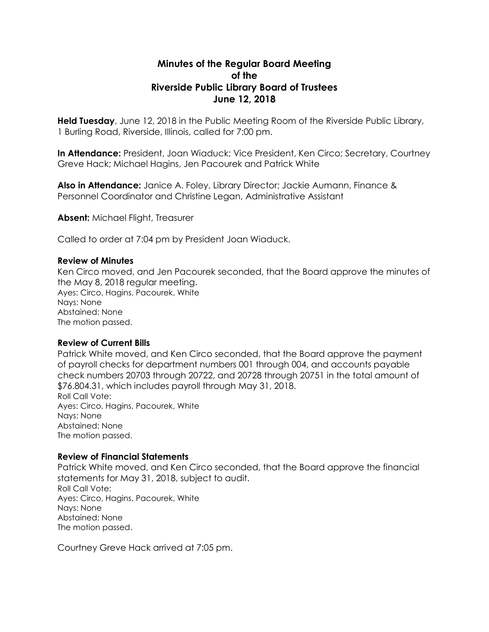# **Minutes of the Regular Board Meeting of the Riverside Public Library Board of Trustees June 12, 2018**

**Held Tuesday**, June 12, 2018 in the Public Meeting Room of the Riverside Public Library, 1 Burling Road, Riverside, Illinois, called for 7:00 pm.

**In Attendance:** President, Joan Wiaduck; Vice President, Ken Circo; Secretary, Courtney Greve Hack; Michael Hagins, Jen Pacourek and Patrick White

**Also in Attendance:** Janice A. Foley, Library Director; Jackie Aumann, Finance & Personnel Coordinator and Christine Legan, Administrative Assistant

**Absent:** Michael Flight, Treasurer

Called to order at 7:04 pm by President Joan Wiaduck.

#### **Review of Minutes**

Ken Circo moved, and Jen Pacourek seconded, that the Board approve the minutes of the May 8, 2018 regular meeting. Ayes: Circo, Hagins, Pacourek, White Nays: None Abstained: None The motion passed.

## **Review of Current Bills**

Patrick White moved, and Ken Circo seconded, that the Board approve the payment of payroll checks for department numbers 001 through 004, and accounts payable check numbers 20703 through 20722, and 20728 through 20751 in the total amount of \$76.804.31, which includes payroll through May 31, 2018. Roll Call Vote: Ayes: Circo, Hagins, Pacourek, White Nays: None Abstained: None The motion passed.

#### **Review of Financial Statements**

Patrick White moved, and Ken Circo seconded, that the Board approve the financial statements for May 31, 2018, subject to audit. Roll Call Vote: Ayes: Circo, Hagins, Pacourek, White Nays: None Abstained: None The motion passed.

Courtney Greve Hack arrived at 7:05 pm.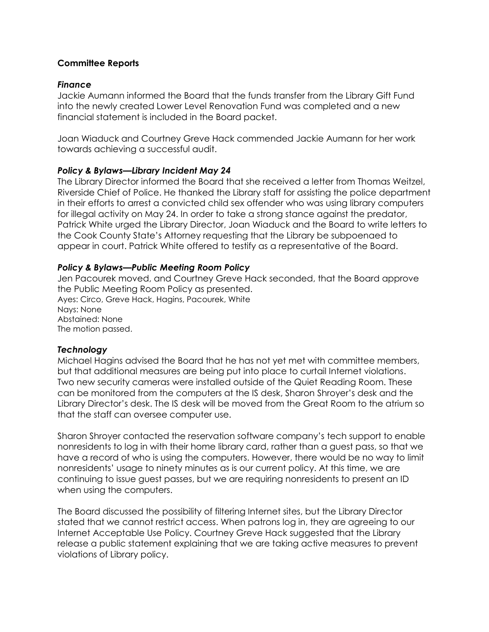## **Committee Reports**

## *Finance*

Jackie Aumann informed the Board that the funds transfer from the Library Gift Fund into the newly created Lower Level Renovation Fund was completed and a new financial statement is included in the Board packet.

Joan Wiaduck and Courtney Greve Hack commended Jackie Aumann for her work towards achieving a successful audit.

## *Policy & Bylaws—Library Incident May 24*

The Library Director informed the Board that she received a letter from Thomas Weitzel, Riverside Chief of Police. He thanked the Library staff for assisting the police department in their efforts to arrest a convicted child sex offender who was using library computers for illegal activity on May 24. In order to take a strong stance against the predator, Patrick White urged the Library Director, Joan Wiaduck and the Board to write letters to the Cook County State's Attorney requesting that the Library be subpoenaed to appear in court. Patrick White offered to testify as a representative of the Board.

## *Policy & Bylaws—Public Meeting Room Policy*

Jen Pacourek moved, and Courtney Greve Hack seconded, that the Board approve the Public Meeting Room Policy as presented. Ayes: Circo, Greve Hack, Hagins, Pacourek, White Nays: None Abstained: None The motion passed.

## *Technology*

Michael Hagins advised the Board that he has not yet met with committee members, but that additional measures are being put into place to curtail Internet violations. Two new security cameras were installed outside of the Quiet Reading Room. These can be monitored from the computers at the IS desk, Sharon Shroyer's desk and the Library Director's desk. The IS desk will be moved from the Great Room to the atrium so that the staff can oversee computer use.

Sharon Shroyer contacted the reservation software company's tech support to enable nonresidents to log in with their home library card, rather than a guest pass, so that we have a record of who is using the computers. However, there would be no way to limit nonresidents' usage to ninety minutes as is our current policy. At this time, we are continuing to issue guest passes, but we are requiring nonresidents to present an ID when using the computers.

The Board discussed the possibility of filtering Internet sites, but the Library Director stated that we cannot restrict access. When patrons log in, they are agreeing to our Internet Acceptable Use Policy. Courtney Greve Hack suggested that the Library release a public statement explaining that we are taking active measures to prevent violations of Library policy.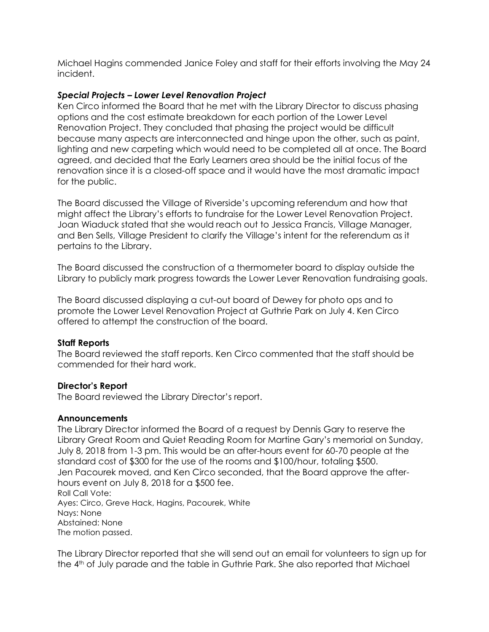Michael Hagins commended Janice Foley and staff for their efforts involving the May 24 incident.

## *Special Projects – Lower Level Renovation Project*

Ken Circo informed the Board that he met with the Library Director to discuss phasing options and the cost estimate breakdown for each portion of the Lower Level Renovation Project. They concluded that phasing the project would be difficult because many aspects are interconnected and hinge upon the other, such as paint, lighting and new carpeting which would need to be completed all at once. The Board agreed, and decided that the Early Learners area should be the initial focus of the renovation since it is a closed-off space and it would have the most dramatic impact for the public.

The Board discussed the Village of Riverside's upcoming referendum and how that might affect the Library's efforts to fundraise for the Lower Level Renovation Project. Joan Wiaduck stated that she would reach out to Jessica Francis, Village Manager, and Ben Sells, Village President to clarify the Village's intent for the referendum as it pertains to the Library.

The Board discussed the construction of a thermometer board to display outside the Library to publicly mark progress towards the Lower Lever Renovation fundraising goals.

The Board discussed displaying a cut-out board of Dewey for photo ops and to promote the Lower Level Renovation Project at Guthrie Park on July 4. Ken Circo offered to attempt the construction of the board.

## **Staff Reports**

The Board reviewed the staff reports. Ken Circo commented that the staff should be commended for their hard work.

## **Director's Report**

The Board reviewed the Library Director's report.

## **Announcements**

The Library Director informed the Board of a request by Dennis Gary to reserve the Library Great Room and Quiet Reading Room for Martine Gary's memorial on Sunday, July 8, 2018 from 1-3 pm. This would be an after-hours event for 60-70 people at the standard cost of \$300 for the use of the rooms and \$100/hour, totaling \$500. Jen Pacourek moved, and Ken Circo seconded, that the Board approve the afterhours event on July 8, 2018 for a \$500 fee. Roll Call Vote: Ayes: Circo, Greve Hack, Hagins, Pacourek, White Nays: None Abstained: None The motion passed.

The Library Director reported that she will send out an email for volunteers to sign up for the 4<sup>th</sup> of July parade and the table in Guthrie Park. She also reported that Michael